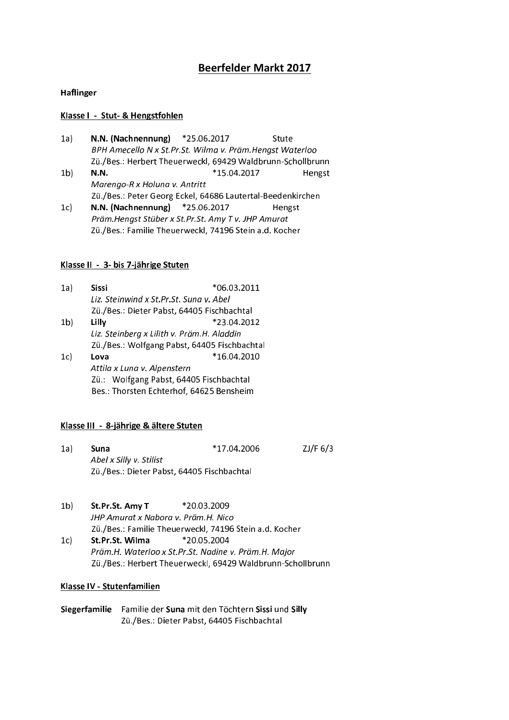# **Beerfelder Markt 2017**

### Haflinger

### Klasse I - Stut- & Hengstfohlen

- $1a)$ N.N. (Nachnennung) \*25.06.2017 Stute BPH Amecello N x St.Pr.St. Wilma v. Präm.Hengst Waterloo Zü./Bes.: Herbert Theuerweckl, 69429 Waldbrunn-Schollbrunn  $1<sub>b</sub>$  $N.N.$ \*15.04.2017 Hengst Marengo-R x Holung y, Antritt Zü./Bes.: Peter Georg Eckel, 64686 Lautertal-Beedenkirchen
- $1c)$ N.N. (Nachnennung) \*25.06.2017 Hengst Präm. Hengst Stüber x St. Pr. St. Amy Tv. JHP Amurat Zü./Bes.: Familie Theuerweckl, 74196 Stein a.d. Kocher

### Klasse II - 3- bis 7-jährige Stuten

- $1a)$ **Sissi** \*06.03.2011 Liz. Steinwind x St.Pr.St. Sung v. Abel Zü./Bes.: Dieter Pabst, 64405 Fischbachtal  $1<sub>b</sub>$ Lilly \*23.04.2012 Liz. Steinberg x Lilith v. Präm.H. Aladdin Zü./Bes.: Wolfgang Pabst, 64405 Fischbachtal
- Lova \*16.04.2010  $1c)$ Attila x Luna v. Alpenstern Zü.: Wolfgang Pabst, 64405 Fischbachtal Bes.: Thorsten Echterhof, 64625 Bensheim

# Klasse III - 8-jährige & ältere Stuten

- $1a)$ Suna \*17.04.2006  $ZJ/F$  6/3 Abel x Silly v. Stilist Zü./Bes.: Dieter Pabst, 64405 Fischbachtal
- $1<sub>b</sub>$ St.Pr.St. Amy T \*20.03.2009 JHP Amurat x Nabora v. Präm.H. Nico Zü./Bes.: Familie Theuerweckl, 74196 Stein a.d. Kocher St.Pr.St. Wilma \*20.05.2004  $1c)$ 
	- Präm.H. Waterloo x St.Pr.St. Nadine v. Präm.H. Major Zü./Bes.: Herbert Theuerweckl, 69429 Waldbrunn-Schollbrunn

# Klasse IV - Stutenfamilien

Siegerfamilie Familie der Suna mit den Töchtern Sissi und Silly Zü./Bes.: Dieter Pabst, 64405 Fischbachtal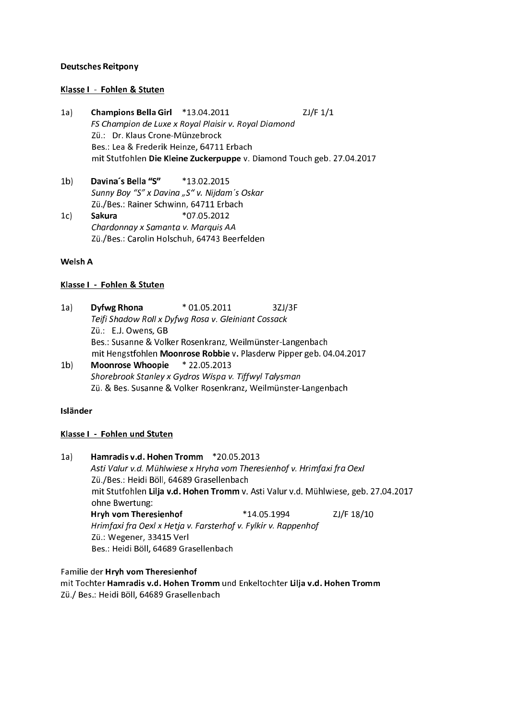### **Deutsches Reitpony**

### Klasse I - Fohlen & Stuten

- Champions Bella Girl \*13.04.2011  $ZJ/F 1/1$  $1a)$ FS Champion de Luxe x Royal Plaisir v. Royal Diamond Zü.: Dr. Klaus Crone-Münzebrock Bes.: Lea & Frederik Heinze, 64711 Erbach mit Stutfohlen Die Kleine Zuckerpuppe v. Diamond Touch geb. 27.04.2017
- Davina's Bella "S"  $1<sub>b</sub>$ \*13.02.2015 Sunny Boy "S" x Davina "S" v. Nijdam's Oskar Zü./Bes.: Rainer Schwinn, 64711 Erbach
- \*07.05.2012 Sakura  $1c)$ Chardonnay x Samanta v. Marquis AA Zü./Bes.: Carolin Holschuh, 64743 Beerfelden

# Welsh A

# Klasse I - Fohlen & Stuten

- $1a$ **Dyfwg Rhona**  $*$  01.05.2011 3ZJ/3F Teifi Shadow Roll x Dyfwg Rosa v. Gleiniant Cossack Zü.: E.J. Owens, GB Bes.: Susanne & Volker Rosenkranz, Weilmünster-Langenbach mit Hengstfohlen Moonrose Robbie v. Plasderw Pipper geb. 04.04.2017
- $1<sub>b</sub>$ Moonrose Whoopie \* 22.05.2013 Shorebrook Stanley x Gydros Wispa v. Tiffwyl Talysman Zü. & Bes. Susanne & Volker Rosenkranz, Weilmünster-Langenbach

# Isländer

# Klasse I - Fohlen und Stuten

Hamradis v.d. Hohen Tromm \*20.05.2013  $1a)$ Asti Valur v.d. Mühlwiese x Hryha vom Theresienhof v. Hrimfaxi fra Oexl Zü./Bes.: Heidi Böll, 64689 Grasellenbach mit Stutfohlen Lilja v.d. Hohen Tromm v. Asti Valur v.d. Mühlwiese, geb. 27.04.2017 ohne Bwertung: Hryh vom Theresienhof \*14.05.1994 ZJ/F 18/10 Hrimfaxi fra Oexl x Hetja v. Farsterhof v. Fylkir v. Rappenhof Zü.: Wegener, 33415 Verl Bes.: Heidi Böll, 64689 Grasellenbach

Familie der Hryh vom Theresienhof mit Tochter Hamradis v.d. Hohen Tromm und Enkeltochter Lilja v.d. Hohen Tromm Zü./ Bes.: Heidi Böll, 64689 Grasellenbach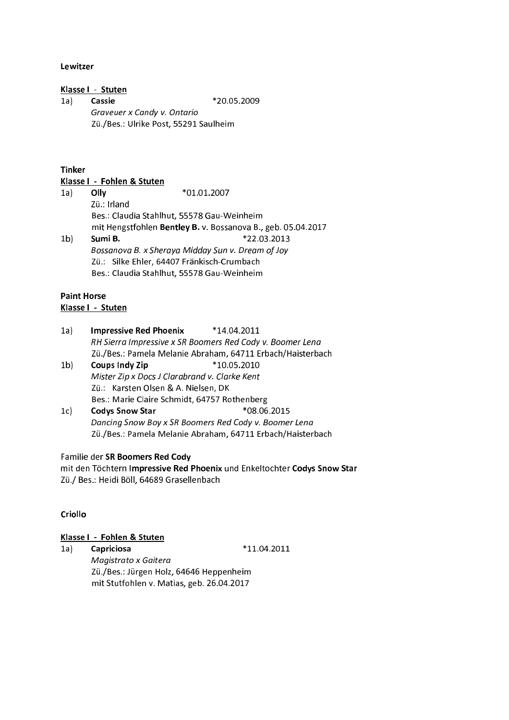### Lewitzer

# Klasse I - Stuten

\*20.05.2009  $1a)$ Cassie Graveuer x Candy v. Ontario Zü./Bes.: Ulrike Post, 55291 Saulheim

### **Tinker**

Klasse I - Fohlen & Stuten

 $1a)$ Olly \*01.01.2007 Zü.: Irland Bes.: Claudia Stahlhut, 55578 Gau-Weinheim mit Hengstfohlen Bentley B. v. Bossanova B., geb. 05.04.2017  $1<sub>b</sub>$ Sumi B. \*22.03.2013 Bossanova B. x Sheraya Midday Sun v. Dream of Joy Zü.: Silke Ehler, 64407 Fränkisch-Crumbach Bes.: Claudia Stahlhut, 55578 Gau-Weinheim

# **Paint Horse**

# Klasse I - Stuten

- **Impressive Red Phoenix**  $*14.04.2011$  $1a)$ RH Sierra Impressive x SR Boomers Red Cody v. Boomer Lena Zü./Bes.: Pamela Melanie Abraham, 64711 Erbach/Haisterbach
- $1<sub>b</sub>$ **Coups Indy Zip** \*10.05.2010 Mister Zip x Docs J Clarabrand v. Clarke Kent Zü.: Karsten Olsen & A. Nielsen, DK Bes.: Marie Claire Schmidt, 64757 Rothenberg
- \*08.06.2015  $1c)$ **Codys Snow Star** Dancing Snow Boy x SR Boomers Red Cody v. Boomer Lena Zü./Bes.: Pamela Melanie Abraham, 64711 Erbach/Haisterbach

# Familie der SR Boomers Red Cody

mit den Töchtern Impressive Red Phoenix und Enkeltochter Codys Snow Star Zü./ Bes.: Heidi Böll, 64689 Grasellenbach

# Criollo

#### Klasse I - Fohlen & Stuten

 $*11.04.2011$ Capriciosa  $1a)$ Magistrato x Gaitera Zü./Bes.: Jürgen Holz, 64646 Heppenheim mit Stutfohlen v. Matias, geb. 26.04.2017